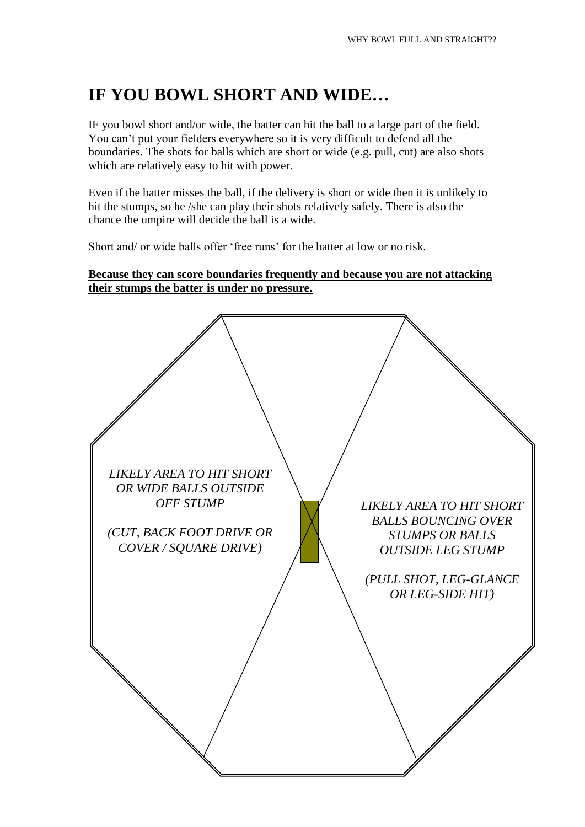## **IF YOU BOWL SHORT AND WIDE…**

IF you bowl short and/or wide, the batter can hit the ball to a large part of the field. You can't put your fielders everywhere so it is very difficult to defend all the boundaries. The shots for balls which are short or wide (e.g. pull, cut) are also shots which are relatively easy to hit with power.

Even if the batter misses the ball, if the delivery is short or wide then it is unlikely to hit the stumps, so he /she can play their shots relatively safely. There is also the chance the umpire will decide the ball is a wide.

Short and/ or wide balls offer 'free runs' for the batter at low or no risk.

## **Because they can score boundaries frequently and because you are not attacking their stumps the batter is under no pressure.**